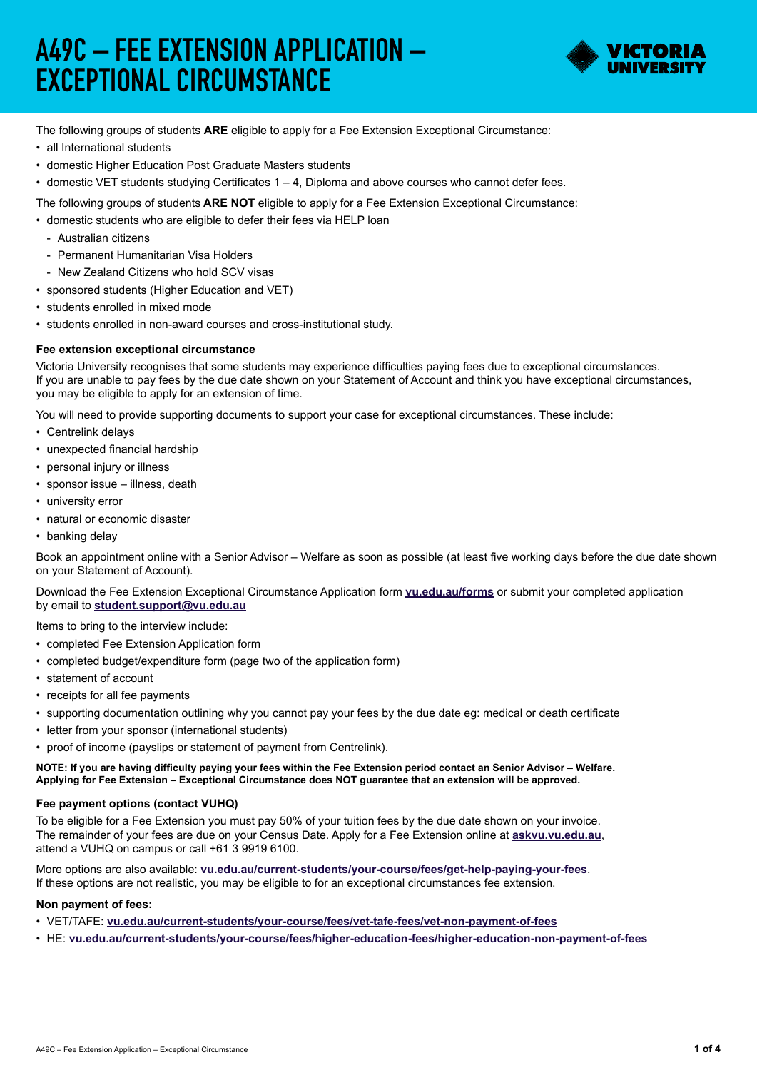# A49C – FEE EXTENSION APPLICATION – EXCEPTIONAL CIRCUMSTANCE



The following groups of students **ARE** eligible to apply for a Fee Extension Exceptional Circumstance:

- all International students
- domestic Higher Education Post Graduate Masters students
- • domestic VET students studying Certificates 1 4, Diploma and above courses who cannot defer fees.

The following groups of students **ARE NOT** eligible to apply for a Fee Extension Exceptional Circumstance:

- domestic students who are eligible to defer their fees via HELP loan
	- Australian citizens
	- Permanent Humanitarian Visa Holders
- New Zealand Citizens who hold SCV visas
- sponsored students (Higher Education and VET)
- students enrolled in mixed mode
- • students enrolled in non-award courses and cross-institutional study.

### **Fee extension exceptional circumstance**

Victoria University recognises that some students may experience difficulties paying fees due to exceptional circumstances. If you are unable to pay fees by the due date shown on your Statement of Account and think you have exceptional circumstances, you may be eligible to apply for an extension of time.

You will need to provide supporting documents to support your case for exceptional circumstances. These include:

- Centrelink delays
- unexpected financial hardship
- personal injury or illness
- sponsor issue illness, death
- university error
- natural or economic disaster
- banking delay

Book an appointment online with a Senior Advisor – Welfare as soon as possible (at least five working days before the due date shown on your Statement of Account).

Download the Fee Extension Exceptional Circumstance Application form **[vu.edu.au/forms](mailto:vu.edu.au/forms?subject=)** or submit your completed application by email to **[student.support@vu.edu.au](mailto:student.support%40vu.edu.au?subject=)**

Items to bring to the interview include:

- completed Fee Extension Application form
- completed budget/expenditure form (page two of the application form)
- statement of account
- receipts for all fee payments
- • supporting documentation outlining why you cannot pay your fees by the due date eg: medical or death certificate
- letter from your sponsor (international students)
- proof of income (payslips or statement of payment from Centrelink).

**NOTE: If you are having difficulty paying your fees within the Fee Extension period contact an Senior Advisor – Welfare. Applying for Fee Extension – Exceptional Circumstance does NOT guarantee that an extension will be approved.**

#### **Fee payment options (contact VUHQ)**

To be eligible for a Fee Extension you must pay 50% of your tuition fees by the due date shown on your invoice. The remainder of your fees are due on your Census Date. Apply for a Fee Extension online at **askvu.vu.edu.au**, attend a VUHQ on campus or call +61 3 9919 6100.

More options are also available: **[vu.edu.au/current-students/your-course/fees/get-help-paying-your-fees](http://vu.edu.au/current-students/your-course/fees/get-help-paying-your-fees)**. If these options are not realistic, you may be eligible to for an exceptional circumstances fee extension.

#### **Non payment of fees:**

• VET/TAFE: **[vu.edu.au/current-students/your-course/fees/vet-tafe-fees/vet-non-payment-of-fees](http://vu.edu.au/current-students/your-course/fees/vet-tafe-fees/vet-non-payment-of-fees)**

• HE: **[vu.edu.au/current-students/your-course/fees/higher-education-fees/higher-education-non-payment-of-fees](http://vu.edu.au/current-students/your-course/fees/higher-education-fees/higher-education-non-payment-of-fe)**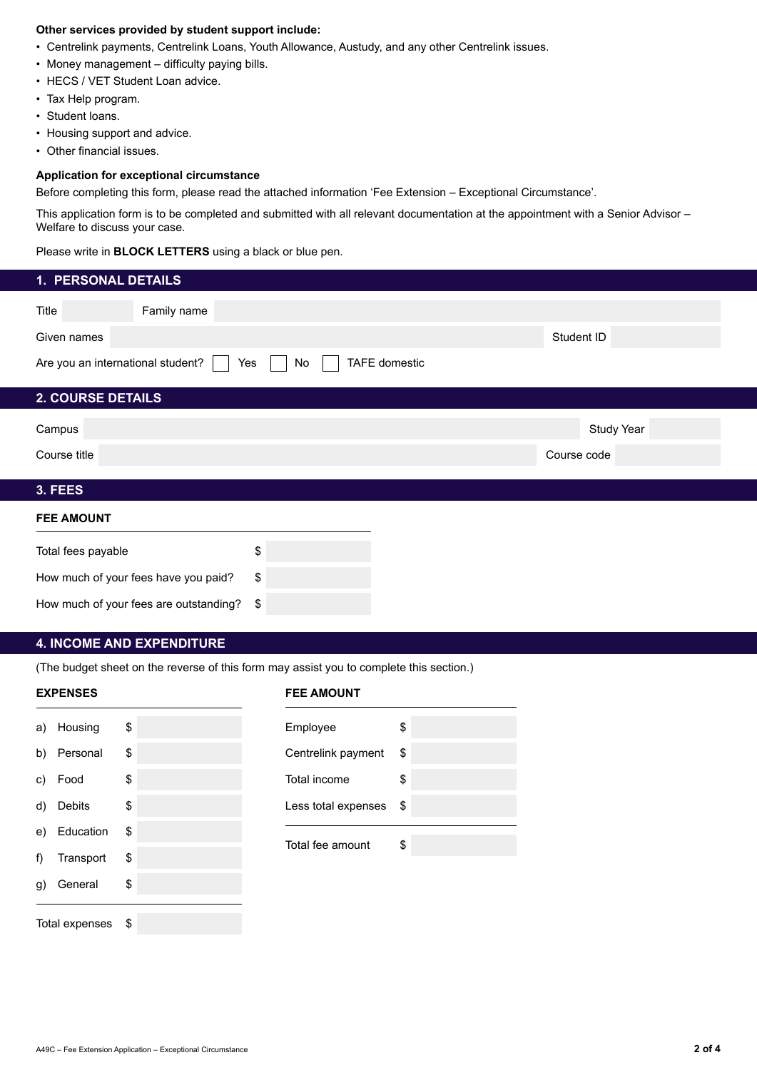#### **Other services provided by student support include:**

- • Centrelink payments, Centrelink Loans, Youth Allowance, Austudy, and any other Centrelink issues.
- Money management difficulty paying bills.
- HECS / VET Student Loan advice.
- Tax Help program.
- Student loans.
- Housing support and advice.
- Other financial issues.

#### **Application for exceptional circumstance**

Before completing this form, please read the attached information 'Fee Extension – Exceptional Circumstance'.

This application form is to be completed and submitted with all relevant documentation at the appointment with a Senior Advisor – Welfare to discuss your case.

Please write in **BLOCK LETTERS** using a black or blue pen.

| 1. PERSONAL DETAILS                    |           |                      |             |
|----------------------------------------|-----------|----------------------|-------------|
| Title<br>Family name                   |           |                      |             |
| Given names                            |           |                      | Student ID  |
| Are you an international student?      | Yes<br>No | <b>TAFE</b> domestic |             |
| 2. COURSE DETAILS                      |           |                      |             |
| Campus                                 |           |                      | Study Year  |
| Course title                           |           |                      | Course code |
| 3. FEES                                |           |                      |             |
| <b>FEE AMOUNT</b>                      |           |                      |             |
| Total fees payable                     | \$        |                      |             |
| How much of your fees have you paid?   | \$        |                      |             |
| How much of your fees are outstanding? | \$        |                      |             |

#### **4. INCOME AND EXPENDITURE**

(The budget sheet on the reverse of this form may assist you to complete this section.)

#### **EXPENSES FEE AMOUNT**

|    | a) Housing     | \$   | Employee            |
|----|----------------|------|---------------------|
| b) | Personal       | \$   | Centrelink payment  |
| C) | Food           | \$   | Total income        |
| d) | Debits         | \$   | Less total expenses |
| e) | Education      | \$   |                     |
| f) | Transport      | \$   | Total fee amount    |
| g) | General        | \$   |                     |
|    | Total expenses | - \$ |                     |
|    |                |      |                     |

| \$<br>Employee               | \$ |
|------------------------------|----|
| \$<br>Centrelink payment     | \$ |
| \$<br>Total income           | \$ |
| \$<br>Less total expenses \$ |    |
| \$                           |    |
| Total fee amount             | \$ |
| \$                           |    |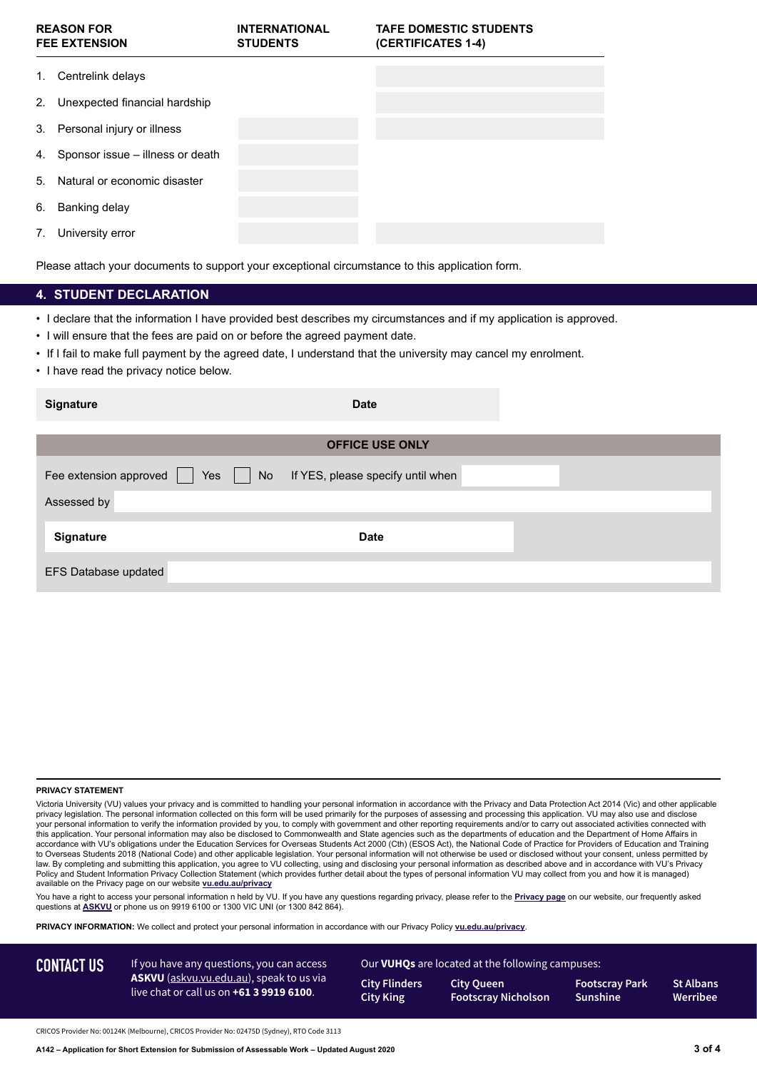| <b>REASON FOR</b><br><b>FEE EXTENSION</b> |                                     | <b>INTERNATIONAL</b><br><b>STUDENTS</b> | <b>TAFE DOMESTIC STUDENTS</b><br>(CERTIFICATES 1-4) |  |
|-------------------------------------------|-------------------------------------|-----------------------------------------|-----------------------------------------------------|--|
| 1.                                        | Centrelink delays                   |                                         |                                                     |  |
| 2.                                        | Unexpected financial hardship       |                                         |                                                     |  |
|                                           | 3. Personal injury or illness       |                                         |                                                     |  |
|                                           | 4. Sponsor issue – illness or death |                                         |                                                     |  |
| 5.                                        | Natural or economic disaster        |                                         |                                                     |  |
| 6.                                        | Banking delay                       |                                         |                                                     |  |
| 7.                                        | University error                    |                                         |                                                     |  |

Please attach your documents to support your exceptional circumstance to this application form.

#### **4. STUDENT DECLARATION**

- • I declare that the information I have provided best describes my circumstances and if my application is approved.
- I will ensure that the fees are paid on or before the agreed payment date.
- • If I fail to make full payment by the agreed date, I understand that the university may cancel my enrolment.
- I have read the privacy notice below.

| <b>Signature</b>                    | <b>Date</b>                       |  |
|-------------------------------------|-----------------------------------|--|
|                                     | <b>OFFICE USE ONLY</b>            |  |
| Yes<br>Fee extension approved<br>No | If YES, please specify until when |  |
| Assessed by                         |                                   |  |
| <b>Signature</b>                    | <b>Date</b>                       |  |
| EFS Database updated                |                                   |  |

#### **PRIVACY STATEMENT**

Victoria University (VU) values your privacy and is committed to handling your personal information in accordance with the Privacy and Data Protection Act 2014 (Vic) and other applicable privacy legislation. The personal information collected on this form will be used primarily for the purposes of assessing and processing this application. VU may also use and disclose your personal information to verify the information provided by you, to comply with government and other reporting requirements and/or to carry out associated activities connected with this application. Your personal information may also be disclosed to Commonwealth and State agencies such as the departments of education and the Department of Home Affairs in accordance with VU's obligations under the Education Services for Overseas Students Act 2000 (Cth) (ESOS Act), the National Code of Practice for Providers of Education and Training to Overseas Students 2018 (National Code) and other applicable legislation. Your personal information will not otherwise be used or disclosed without your consent, unless permitted by Law. By completing and submitting this application, you agree to VU collecting, using and disclosing your personal information as described above and in accordance with VU's Privacy Policy and Student Information Privacy Collection Statement (which provides further detail about the types of personal information VU may collect from you and how it is managed) available on the Privacy page on our website **[vu.edu.au/privacy](http://)**

You have a right to access your personal information n held by VU. If you have any questions regarding privacy, please refer to the **Privacy page** on our website, our frequently asked questions at **ASKVU** or phone us on 9919 6100 or 1300 VIC UNI (or 1300 842 864).

**PRIVACY INFORMATION:** We collect and protect your personal information in accordance with our Privacy Policy **[vu.edu.au/privacy](http://)**.

**St Albans Werribee** CONTACT US If you have any questions, you can access Our VUHQs are located at the following campuses: **City Flinders City King City Queen Footscray Nicholson Footscray Park Sunshine** If you have any questions, you can access **ASKVU** (askvu.vu.edu.au), speak to us via live chat or call us on **+61 3 9919 6100**.

CRICOS Provider No: 00124K (Melbourne), CRICOS Provider No: 02475D (Sydney), RTO Code 3113